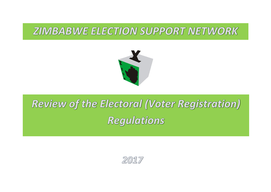# **ZIMBABWE ELECTION SUPPORT NETWORK**



# **Review of the Electoral (Voter Registration) Regulations**

2017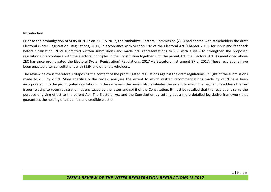#### **Introduction**

Prior to the promulgation of SI 85 of 2017 on 21 July 2017, the Zimbabwe Electoral Commission (ZEC) had shared with stakeholders the draft Electoral (Voter Registration) Regulations, 2017, in accordance with Section 192 of the Electoral Act [Chapter 2:13], for input and feedback before finalisation. ZESN submitted written submissions and made oral representations to ZEC with a view to strengthen the proposed regulations in accordance with the electoral principles in the Constitution together with the parent Act, the Electoral Act. As mentioned above ZEC has since promulgated the Electoral (Voter Registration) Regulations, 2017 via Statutory Instrument 87 of 2017. These regulations have been enacted after consultations with ZESN and other stakeholders.

The review below is therefore juxtaposing the content of the promulgated regulations against the draft regulations, in light of the submissions made to ZEC by ZESN. More specifically the review analyses the extent to which written recommendations made by ZESN have been incorporated into the promulgated regulations. In the same vain the review also evaluates the extent to which the regulations address the key issues relating to voter registration, as envisaged by the letter and spirit of the Constitution. It must be recalled that the regulations serve the purpose of giving effect to the parent Act, The Electoral Act and the Constitution by setting out a more detailed legislative framework that guarantees the holding of a free, fair and credible election.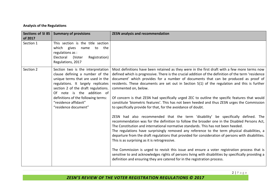## **Analysis of the Regulations**

| Sections of SI 85<br>of 2017 | <b>Summary of provisions</b>                                                                                                                                                                                                                                                                                 | <b>ZESN analysis and recommendation</b>                                                                                                                                                                                                                                                                                                                                                                                                                                                                                                                                                                                                                                                                                                                                                                                                                                                                                                                                                                                                                                                                                                                                                                                                                                                                                                                                                                                                                                                                        |
|------------------------------|--------------------------------------------------------------------------------------------------------------------------------------------------------------------------------------------------------------------------------------------------------------------------------------------------------------|----------------------------------------------------------------------------------------------------------------------------------------------------------------------------------------------------------------------------------------------------------------------------------------------------------------------------------------------------------------------------------------------------------------------------------------------------------------------------------------------------------------------------------------------------------------------------------------------------------------------------------------------------------------------------------------------------------------------------------------------------------------------------------------------------------------------------------------------------------------------------------------------------------------------------------------------------------------------------------------------------------------------------------------------------------------------------------------------------------------------------------------------------------------------------------------------------------------------------------------------------------------------------------------------------------------------------------------------------------------------------------------------------------------------------------------------------------------------------------------------------------------|
| Section 1                    | This section is the title section<br>which gives<br>the<br>name<br>to<br>regulations as :<br>Electoral<br>(Voter<br>Registration)<br>Regulations, 2017                                                                                                                                                       |                                                                                                                                                                                                                                                                                                                                                                                                                                                                                                                                                                                                                                                                                                                                                                                                                                                                                                                                                                                                                                                                                                                                                                                                                                                                                                                                                                                                                                                                                                                |
| Section 2                    | Section two is the interpretation<br>clause defining a number of the<br>unique terms that are used in the<br>regulations. It largely replicates<br>section 2 of the draft regulations.<br>Of note is the addition of<br>definitions of the following terms:<br>"residence affidavit"<br>"residence document" | Most definitions have been retained as they were in the first draft with a few more terms now<br>defined which is progressive. There is the crucial addition of the definition of the term 'residence<br>document' which provides for a number of documents that can be produced as proof of<br>residents. These documents are set out in Section 5(1) of the regulation and this is further<br>commented on, below.<br>Of concern is that ZESN had specifically urged ZEC to outline the specific features that would<br>constitute 'biometric features'. This has not been heeded and thus ZESN urges the Commission<br>to specifically provide for that, for the avoidance of doubt.<br>ZESN had also recommended that the term 'disability' be specifically defined. The<br>recommendation was for the definition to follow the broader one in the Disabled Persons Act,<br>The Constitution and international normative standards. This has not been heeded.<br>The regulations have surprisingly removed any reference to the term physical disabilities, a<br>departure from the draft regulations that provided for consideration of persons with disabilities.<br>This is as surprising as it is retrogressive.<br>The Commission is urged to revisit this issue and ensure a voter registration process that is<br>sensitive to and acknowledges rights of persons living with disabilities by specifically providing a<br>definition and ensuring they are catered for in the registration process. |

2 | P a g e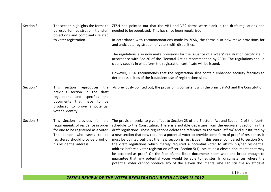| Section 3 | The section highlights the forms to<br>be used for registration, transfer,<br>objections and complaints related                                                                                                   | ZESN had pointed out that the VR1 and VR2 forms were blank in the draft regulations and<br>needed to be populated. This has since been regularised.                                                                                                                                                                                                                                                                                                                                                                                                                                                                                                                                                                                                                                                                                                                                                                                                                                                        |
|-----------|-------------------------------------------------------------------------------------------------------------------------------------------------------------------------------------------------------------------|------------------------------------------------------------------------------------------------------------------------------------------------------------------------------------------------------------------------------------------------------------------------------------------------------------------------------------------------------------------------------------------------------------------------------------------------------------------------------------------------------------------------------------------------------------------------------------------------------------------------------------------------------------------------------------------------------------------------------------------------------------------------------------------------------------------------------------------------------------------------------------------------------------------------------------------------------------------------------------------------------------|
|           | to voter registration.                                                                                                                                                                                            | In accordance with recommendations made by ZESN, the forms also now make provisions for<br>and anticipate registration of voters with disabilities.                                                                                                                                                                                                                                                                                                                                                                                                                                                                                                                                                                                                                                                                                                                                                                                                                                                        |
|           |                                                                                                                                                                                                                   | The regulations also now make provisions for the issuance of a voters' registration certificate in<br>accordance with Sec 26 of the Electoral Act as recommended by ZESN. The regulations should<br>clearly specify in what form the registration certificate will be issued.                                                                                                                                                                                                                                                                                                                                                                                                                                                                                                                                                                                                                                                                                                                              |
|           |                                                                                                                                                                                                                   | However, ZESN recommends that the registration slips contain enhanced security features to<br>deter possibilities of the fraudulent use of registrations slips.                                                                                                                                                                                                                                                                                                                                                                                                                                                                                                                                                                                                                                                                                                                                                                                                                                            |
| Section 4 | section<br>reproduces<br>This<br>the<br>previous section in the<br>draft<br>specifies<br>regulations<br>and<br>the<br>documents<br>that<br>have<br>to<br>be<br>produced to prove a potential<br>voter's identity. | As previously pointed out, the provision is consistent with the principal Act and the Constitution.                                                                                                                                                                                                                                                                                                                                                                                                                                                                                                                                                                                                                                                                                                                                                                                                                                                                                                        |
| Section 5 | This Section provides for the<br>requirements of residence in order<br>for one to be registered as a voter.<br>The person who seeks to be<br>registered should provide proof of<br>his residential address.       | The provision seeks to give effect to Section 23 of the Electoral Act and Section 2 of the fourth<br>schedule to the Constitution. There is a notable departure from the equivalent section in the<br>draft regulations. These regulations delete the reference to the word 'affirm' and substituted by<br>a new section that now requires a potential voter to provide some form of proof of residence. It<br>must be pointed out that the new section is restrictive in this sense, compared to section 5 of<br>the draft regulations which merely required a potential voter to affirm his/her residential<br>address before a voter registration officer. Section 5(1) lists at least eleven documents that may<br>be accepted as proof. On the face of, the listed documents seem wide and broad enough to<br>guarantee that any potential voter would be able to register. In circumstances where the<br>potential voter cannot produce any of the eleven documents s/he can still file an affidavit |

ZESN'S REVIEW OF THE VOTER REGISTRATION REGULATIONS © 2017

3 | P a g e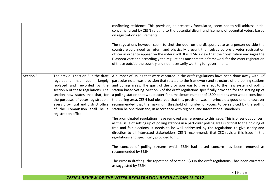|           |                                                                                                                                                                                                                                                                                                                           | confirming residence. This provision, as presently formulated, seem not to still address initial<br>concerns raised by ZESN relating to the potential disenfranchisement of potential voters based<br>on registration requirements.<br>The regulations however seem to shut the door on the diaspora vote as a person outside the<br>country would need to return and physically present themselves before a voter registration<br>officer in order to appear on the voters' roll. It is ZESN's view that the Constitution envisages the<br>Diaspora vote and accordingly the regulations must create a framework for the voter registration<br>of those outside the country and not necessarily working for government.                                                                         |
|-----------|---------------------------------------------------------------------------------------------------------------------------------------------------------------------------------------------------------------------------------------------------------------------------------------------------------------------------|--------------------------------------------------------------------------------------------------------------------------------------------------------------------------------------------------------------------------------------------------------------------------------------------------------------------------------------------------------------------------------------------------------------------------------------------------------------------------------------------------------------------------------------------------------------------------------------------------------------------------------------------------------------------------------------------------------------------------------------------------------------------------------------------------|
| Section 6 | The previous section 6 in the draft<br>regulations has been<br>largely<br>replaced and reworded by the<br>section 6 of these regulations. The<br>section now states that that, for<br>the purposes of voter registration,<br>every provincial and district office<br>of the Commission shall be a<br>registration office. | A number of issues that were captured in the draft regulations have been done away with. Of<br>particular note, was provision that related to the framework and structure of the polling stations<br>and polling areas. The spirit of the provision was to give effect to the new system of polling<br>station based voting. Section 6 of the draft regulations specifically provided for the setting up of<br>a polling station that would cater for a maximum number of 1500 persons who would constitute<br>the polling area. ZESN had observed that this provision was, in principle a good one. It however<br>recommended that the maximum threshold of number of voters to be serviced by the polling<br>station be one thousand, in accordance with regional and international standards. |
|           |                                                                                                                                                                                                                                                                                                                           | The promulgated regulations have removed any reference to this issue. This is of serious concern<br>as the issue of setting up of polling stations in a particular polling area is critical to the holding of<br>free and fair elections. It needs to be well addressed by the regulations to give clarity and<br>direction to all interested stakeholders. ZESN recommends that ZEC revisits this issue in the<br>regulations and specifically provided for it.                                                                                                                                                                                                                                                                                                                                 |
|           |                                                                                                                                                                                                                                                                                                                           | The concept of polling streams which ZESN had raised concern has been removed as<br>recommended by ZESN.                                                                                                                                                                                                                                                                                                                                                                                                                                                                                                                                                                                                                                                                                         |
|           |                                                                                                                                                                                                                                                                                                                           | The error in drafting- the repetition of Section 6(2) in the draft regulations - has been corrected<br>as suggested by ZESN.                                                                                                                                                                                                                                                                                                                                                                                                                                                                                                                                                                                                                                                                     |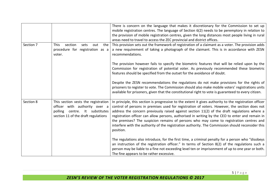|           |                                                                                                                                                  | There is concern on the language that makes it discretionary for the Commission to set up<br>mobile registration centres. The language of Section 6(2) needs to be peremptory in relation to<br>the provision of mobile registration centres, given the long distances most people living in rural<br>areas need to travel to access the ZEC provincial and district offices.                                                                                                                                                                                                                                           |
|-----------|--------------------------------------------------------------------------------------------------------------------------------------------------|-------------------------------------------------------------------------------------------------------------------------------------------------------------------------------------------------------------------------------------------------------------------------------------------------------------------------------------------------------------------------------------------------------------------------------------------------------------------------------------------------------------------------------------------------------------------------------------------------------------------------|
| Section 7 | section<br><b>This</b><br>the<br>sets<br>out<br>procedure for registration as a<br>voter.                                                        | This provision sets out the framework of registration of a claimant as a voter. The provision adds<br>a new requirement of taking a photograph of the claimant. This is in accordance with ZESN<br>recommendations.                                                                                                                                                                                                                                                                                                                                                                                                     |
|           |                                                                                                                                                  | The provision however fails to specify the biometric features that will be relied upon by the<br>Commission for registration of potential voter. As previously recommended these biometric<br>features should be specified from the outset for the avoidance of doubt.                                                                                                                                                                                                                                                                                                                                                  |
|           |                                                                                                                                                  | Despite the ZESN recommendations the regulations do not make provisions for the rights of<br>prisoners to register to vote. The Commission should also make mobile voters' registrations units<br>available for prisoners, given that the constitutional right to vote is guaranteed to every citizen.                                                                                                                                                                                                                                                                                                                  |
| Section 8 | This section vests the registration<br>officer with authority over a<br>polling<br>centre. It substitutes<br>section 11 of the draft regulations | In principle, this section is progressive to the extent it gives authority to the registration officer<br>control of persons in premises used for registration of voters. However, the section does not<br>address the concern previously raised against section 11(2) of the draft regulations where a<br>registration officer can allow persons, authorised in writing by the CEO to enter and remain in<br>the premises? The suspicion remains of persons who may come to registration centres and<br>interfere with the authority of the registration authority. The Commission should reconsider this<br>position. |
|           |                                                                                                                                                  | The regulations also introduce, for the first time, a criminal penalty for a person who "disobeys<br>an instruction of the registration officer." In terms of Section 8(2) of the regulations such a<br>person may be liable to a fine not exceeding level ten or imprisonment of up to one year or both.<br>The fine appears to be rather excessive.                                                                                                                                                                                                                                                                   |

ZESN'S REVIEW OF THE VOTER REGISTRATION REGULATIONS © 2017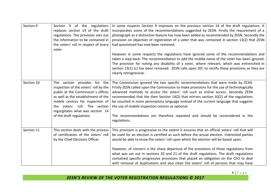| Section 9  | Section 9 of the regulations<br>replaces section 14 of the draft<br>regulations. The provision sets out<br>the information to be contained in<br>the voters' roll in respect of every<br>voter.                                                                                         | In some respects Section 9 improves on the previous section 14 of the draft regulations. It<br>incorporates some of the recommendations suggested by ZESN. Firstly the requirement of a<br>photograph as a distinctive feature has now been added as recommended by ZESN. Secondly the<br>provision on objection of registration of a voter that was contained in section 13(2) that ZESN<br>had questioned has now been removed.                                                                                                                                                                                                                          |
|------------|-----------------------------------------------------------------------------------------------------------------------------------------------------------------------------------------------------------------------------------------------------------------------------------------|------------------------------------------------------------------------------------------------------------------------------------------------------------------------------------------------------------------------------------------------------------------------------------------------------------------------------------------------------------------------------------------------------------------------------------------------------------------------------------------------------------------------------------------------------------------------------------------------------------------------------------------------------------|
|            |                                                                                                                                                                                                                                                                                         | However in some respects the regulations have ignored some of the recommendations and<br>taken a step back. The recommendation to add the middle name of the voter has been ignored.<br>The provision for noting any disability of a voter, where relevant, which was entrenched in<br>section 13(1) (c) has been removed. ZESN calls upon ZEC to rectify these provisions as they are<br>clearly retrogressive.                                                                                                                                                                                                                                           |
| Section 10 | The section provides for the<br>inspection of the voters' roll by the<br>public at the Commission's offices<br>as well as the establishment of the<br>mobile centres for inspection of<br>the voters' roll. The section<br>regurgitates what was section 14<br>of the draft regulations | The Commission ignored the two specific recommendations that were made by ZESN.<br>Firstly ZESN called upon the Commission to make provisions for the use of technologically<br>advanced methods to access the voters' roll such as online access. Secondly ZESN<br>recommended that the then Section 14(2) that mirrors section 10(2) of the regulations<br>be couched in more peremptory language instead of the current language that suggests<br>the use of mobile inspection centres as optional.<br>The recommendations are therefore repeated and should be reconsidered in the<br>regulations.                                                     |
| Section 11 | This section deals with the process<br>of certification of the voters' roll<br>by the Chief Elections Officer                                                                                                                                                                           | This provision is progressive to the extent it ensures that an official voters' roll that will<br>be used for an election is certified as such before the actual election. Interested parties<br>would be able to know the voters' roll upon which the election will be based upon.<br>However, of concern is the sharp departure of the provisions of these regulations from<br>what was set out in sections 20 and 21 of the draft regulations. The draft regulations<br>contained specific progressive provisions that placed an obligation on the CEO to deal<br>with removal of duplications and also clean the voters' roll of persons that may have |

6 | P a g e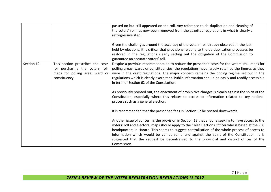|            |                                                                                                                         | passed on but still appeared on the roll. Any reference to de-duplication and cleaning of<br>the voters' roll has now been removed from the gazetted regulations in what is clearly a<br>retrogressive step.                                                                                                                                                                                                                                                                                                      |
|------------|-------------------------------------------------------------------------------------------------------------------------|-------------------------------------------------------------------------------------------------------------------------------------------------------------------------------------------------------------------------------------------------------------------------------------------------------------------------------------------------------------------------------------------------------------------------------------------------------------------------------------------------------------------|
|            |                                                                                                                         | Given the challenges around the accuracy of the voters' roll already observed in the just-<br>held by-elections, it is critical that provisions relating to the de-duplication processes be<br>restored in the regulations clearly setting out the obligation of the Commission to<br>guarantee an accurate voters' roll.                                                                                                                                                                                         |
| Section 12 | This section prescribes the costs<br>for purchasing the voters roll,<br>maps for polling area, ward or<br>constituency. | Despite a previous recommendation to reduce the prescribed costs for the voters' roll, maps for<br>polling areas, wards or constituencies, the regulations have largely retained the figures as they<br>were in the draft regulations. The major concern remains the pricing regime set out in the<br>regulations which is clearly exorbitant. Public information should be easily and readily accessible<br>in term of Section 62 of the Constitution.                                                           |
|            |                                                                                                                         | As previously pointed out, the enactment of prohibitive charges is clearly against the spirit of the<br>Constitution, especially where this relates to access to information related to key national<br>process such as a general election.                                                                                                                                                                                                                                                                       |
|            |                                                                                                                         | It is recommended that the prescribed fees in Section 12 be revised downwards.                                                                                                                                                                                                                                                                                                                                                                                                                                    |
|            |                                                                                                                         | Another issue of concern is the provision in Section 12 that anyone seeking to have access to the<br>voters' roll and electoral maps should apply to the Chief Elections Officer who is based at the ZEC<br>headquarters in Harare. This seems to suggest centralisation of the whole process of access to<br>information which would be cumbersome and against the spirit of the Constitution. It is<br>suggested that the request be decentralised to the provincial and district offices of the<br>Commission. |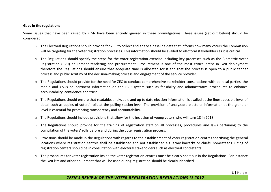#### **Gaps in the regulations**

Some issues that have been raised by ZESN have been entirely ignored in these promulgations. These issues (set out below) should be considered:

- o The Electoral Regulations should provide for ZEC to collect and analyse baseline data that informs how many voters the Commission will be targeting for the voter registration processes. This information should be availed to electoral stakeholders as it is critical.
- o The Regulations should specify the steps for the voter registration exercise including key processes such as the Biometric Voter Registration (BVR) equipment tendering and procurement. Procurement is one of the most critical steps in BVR deployment therefore the Regulations should ensure that adequate time is allocated for it and that the process is open to a public tender process and public scrutiny of the decision-making process and engagement of the service provider.
- o The Regulations should provide for the need for ZEC to conduct comprehensive stakeholder consultations with political parties, the media and CSOs on pertinent information on the BVR system such as feasibility and administrative procedures to enhance accountability, confidence and trust.
- o The Regulations should ensure that readable, analyzable and up to date election information is availed at the finest possible level of detail such as copies of voters' rolls at the polling station level. The provision of analyzable electoral information at the granular level is essential for promoting transparency and accountability.
- $\circ$  The Regulations should include provisions that allow for the inclusion of young voters who will turn 18 in 2018
- o The Regulations should provide for the training of registration staff on all processes, procedures and laws pertaining to the compilation of the voters' rolls before and during the voter registration process.
- o Provisions should be made in the Regulations with regards to the establishment of voter registration centres specifying the general locations where registration centres shall be established and not established e.g. army barracks or chiefs' homesteads. Citing of registration centers should be in consultation with electoral stakeholders such as electoral contestants.
- $\circ$  The procedures for voter registration inside the voter registration centres must be clearly spelt out in the Regulations. For instance the BVR kits and other equipment that will be used during registration should be clearly identified.

## **ZESN'S REVIEW OF THE VOTER REGISTRATION REGULATIONS © 2017**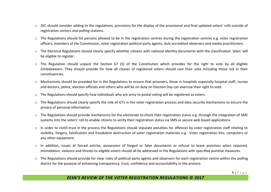- $\circ$  ZEC should consider adding to the regulations, provisions for the display of the provisional and final updated voters' rolls outside of registration centers and polling stations.
- o The Regulations should list persons allowed to be in the registration centres during the registration centres e.g. voter registration officers, members of the Commission, voter registration political party agents, duly accredited observers and media practitioners.
- o The Electoral Regulations should clearly specify whether citizens with national identity documents with the classification 'alien' will be eligible to register.
- $\circ$  The Regulation should unpack the Section 67 (3) of the Constitution which provides for the right to vote by all eligible Zimbabweans. They should provide for how all classes of registered voters should cast their vote including those not in their constituencies.
- o Mechanisms should be provided for in the Regulations to ensure that prisoners, those in hospitals especially hospital staff, nurses and doctors, police, election officials and others who will be on duty on Election Day can exercise their right to vote.
- o The Regulations should specify how individuals who are privy to postal voting will be registered as voters.
- o The Regulations should clearly specify the role of ICTs in the voter registration process and data security mechanisms to ensure the privacy of personal information.
- o The Regulations should provide mechanisms for the electorate to check their registration status e.g. through the integration of SMS systems into the voters' roll to enable citizens to verify their registration status via SMS or secure web based applications.
- $\circ$  In order to instill trust in the process the Regulations should stipulate penalties for offences by voter registration staff relating to visibility, forgery, falsification and fraudulent destruction of voter registration materials e.g. Voter registration kits, computers or any other equipment.
- o In addition, issues of forced entries, possession of forged or false documents or refusal to leave premises when required, intimidation, violence and threats to eligible voters should all be addressed in the Regulations with specified punitive measures.
- $\circ$  The Regulations should provide for clear roles of political party agents and observers for each registration centre within the polling district for the purpose of enhancing transparency, trust, confidence and accountability in the process.